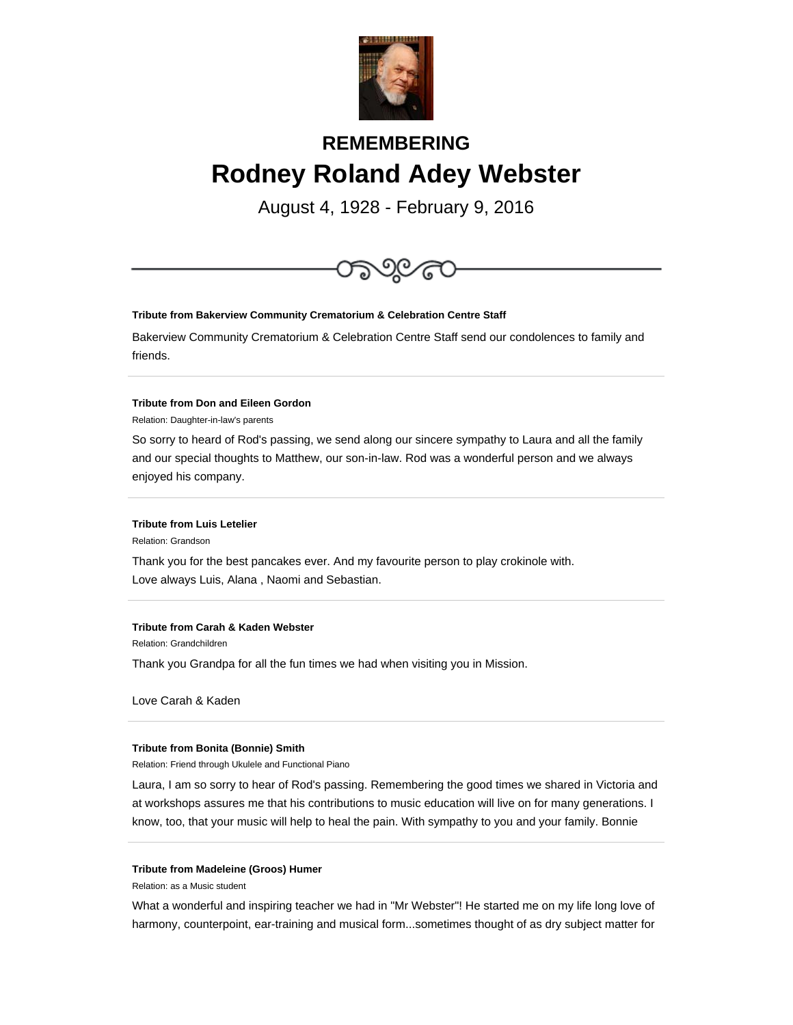

# **REMEMBERING Rodney Roland Adey Webster**

August 4, 1928 - February 9, 2016



# **Tribute from Carah & Kaden Webster**

Relation: Grandchildren

Thank you Grandpa for all the fun times we had when visiting you in Mission.

Love Carah & Kaden

## **Tribute from Bonita (Bonnie) Smith**

Relation: Friend through Ukulele and Functional Piano

Laura, I am so sorry to hear of Rod's passing. Remembering the good times we shared in Victoria and at workshops assures me that his contributions to music education will live on for many generations. I know, too, that your music will help to heal the pain. With sympathy to you and your family. Bonnie

## **Tribute from Madeleine (Groos) Humer**

Relation: as a Music student

What a wonderful and inspiring teacher we had in "Mr Webster"! He started me on my life long love of harmony, counterpoint, ear-training and musical form...sometimes thought of as dry subject matter for